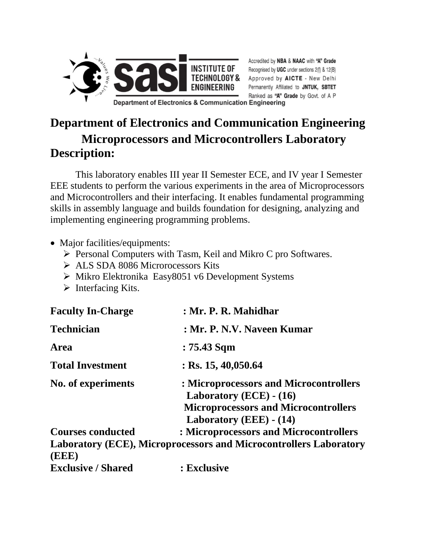

Accredited by NBA & NAAC with "A" Grade Recognised by UGC under sections 2(f) & 12(B) Approved by AICTE - New Delhi Permanently Affiliated to JNTUK, SBTET Ranked as "A" Grade by Govt. of A P

**Department of Electronics & Communication Engineering** 

## **Department of Electronics and Communication Engineering Microprocessors and Microcontrollers Laboratory Description:**

This laboratory enables III year II Semester ECE, and IV year I Semester EEE students to perform the various experiments in the area of Microprocessors and Microcontrollers and their interfacing. It enables fundamental programming skills in assembly language and builds foundation for designing, analyzing and implementing engineering programming problems.

- Major facilities/equipments:
	- $\triangleright$  Personal Computers with Tasm, Keil and Mikro C pro Softwares.
	- ALS SDA 8086 Microrocessors Kits
	- $\triangleright$  Mikro Elektronika Easy 8051 v6 Development Systems
	- $\triangleright$  Interfacing Kits.

| <b>Faculty In-Charge</b>  | : Mr. P. R. Mahidhar                                                                                               |
|---------------------------|--------------------------------------------------------------------------------------------------------------------|
| <b>Technician</b>         | : Mr. P. N.V. Naveen Kumar                                                                                         |
| <b>Area</b>               | : 75.43 Sqm                                                                                                        |
| <b>Total Investment</b>   | $:$ Rs. 15, 40,050.64                                                                                              |
| No. of experiments        | : Microprocessors and Microcontrollers<br>Laboratory $(ECE) - (16)$<br><b>Microprocessors and Microcontrollers</b> |
|                           | Laboratory (EEE) - (14)                                                                                            |
| <b>Courses conducted</b>  | : Microprocessors and Microcontrollers                                                                             |
|                           | <b>Laboratory (ECE), Microprocessors and Microcontrollers Laboratory</b>                                           |
| (EEE)                     |                                                                                                                    |
| <b>Exclusive / Shared</b> | : Exclusive                                                                                                        |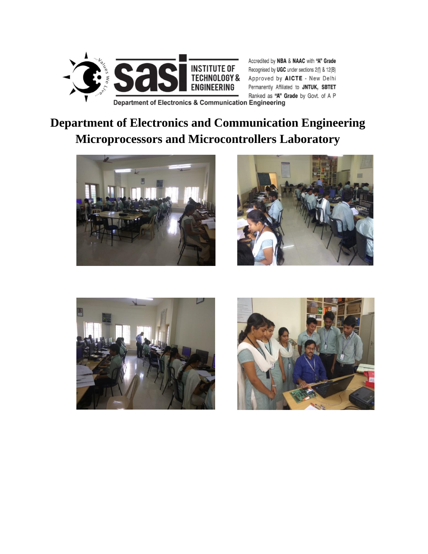

Accredited by NBA & NAAC with "A" Grade Recognised by UGC under sections 2(f) & 12(B) Approved by AICTE - New Delhi Permanently Affiliated to JNTUK, SBTET Ranked as "A" Grade by Govt. of A P

Department of Electronics & Communication Engineering

# **Department of Electronics and Communication Engineering Microprocessors and Microcontrollers Laboratory**







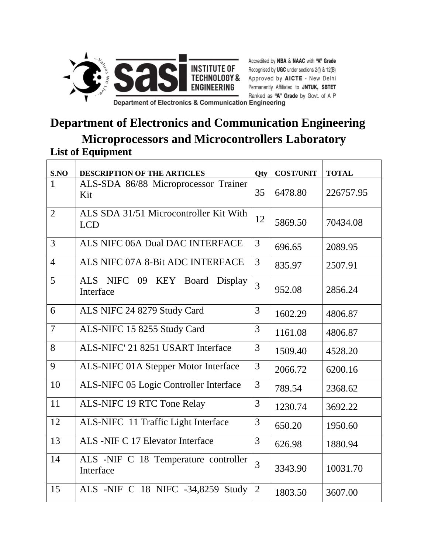

Accredited by NBA & NAAC with "A" Grade Recognised by UGC under sections 2(f) & 12(B) Approved by AICTE - New Delhi Permanently Affiliated to JNTUK, SBTET Ranked as "A" Grade by Govt. of A P

Department of Electronics & Communication Engineering

#### **Department of Electronics and Communication Engineering Microprocessors and Microcontrollers Laboratory List of Equipment**

| S.NO           | <b>DESCRIPTION OF THE ARTICLES</b>                   | Qty            | <b>COST/UNIT</b> | <b>TOTAL</b> |
|----------------|------------------------------------------------------|----------------|------------------|--------------|
| $\mathbf{1}$   | ALS-SDA 86/88 Microprocessor Trainer<br>Kit          | 35             | 6478.80          | 226757.95    |
| $\overline{2}$ | ALS SDA 31/51 Microcontroller Kit With<br><b>LCD</b> | 12             | 5869.50          | 70434.08     |
| 3              | ALS NIFC 06A Dual DAC INTERFACE                      | 3              | 696.65           | 2089.95      |
| $\overline{4}$ | ALS NIFC 07A 8-Bit ADC INTERFACE                     | 3              | 835.97           | 2507.91      |
| 5              | ALS NIFC 09 KEY<br>Board<br>Display<br>Interface     | 3              | 952.08           | 2856.24      |
| 6              | ALS NIFC 24 8279 Study Card                          | 3              | 1602.29          | 4806.87      |
| $\overline{7}$ | ALS-NIFC 15 8255 Study Card                          | 3              | 1161.08          | 4806.87      |
| 8              | ALS-NIFC' 21 8251 USART Interface                    | 3              | 1509.40          | 4528.20      |
| 9              | ALS-NIFC 01A Stepper Motor Interface                 | 3              | 2066.72          | 6200.16      |
| 10             | ALS-NIFC 05 Logic Controller Interface               | 3              | 789.54           | 2368.62      |
| 11             | <b>ALS-NIFC 19 RTC Tone Relay</b>                    | 3              | 1230.74          | 3692.22      |
| 12             | ALS-NIFC 11 Traffic Light Interface                  | 3              | 650.20           | 1950.60      |
| 13             | ALS -NIF C 17 Elevator Interface                     | 3              | 626.98           | 1880.94      |
| 14             | ALS -NIF C 18 Temperature controller<br>Interface    | 3              | 3343.90          | 10031.70     |
| 15             | ALS -NIF C 18 NIFC -34,8259 Study                    | $\overline{2}$ | 1803.50          | 3607.00      |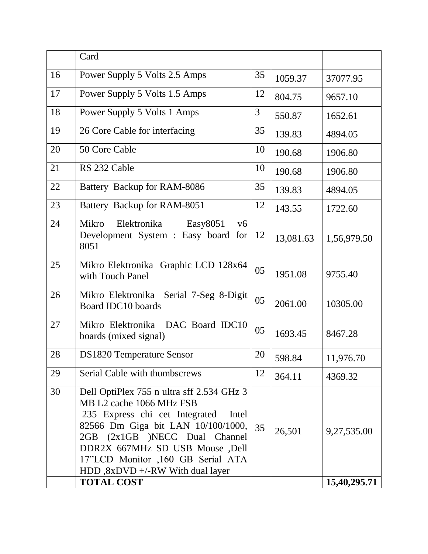|    | Card                                                                                                                                                                                                                                                                                               |    |           |              |
|----|----------------------------------------------------------------------------------------------------------------------------------------------------------------------------------------------------------------------------------------------------------------------------------------------------|----|-----------|--------------|
| 16 | Power Supply 5 Volts 2.5 Amps                                                                                                                                                                                                                                                                      | 35 | 1059.37   | 37077.95     |
| 17 | Power Supply 5 Volts 1.5 Amps                                                                                                                                                                                                                                                                      | 12 | 804.75    | 9657.10      |
| 18 | Power Supply 5 Volts 1 Amps                                                                                                                                                                                                                                                                        | 3  | 550.87    | 1652.61      |
| 19 | 26 Core Cable for interfacing                                                                                                                                                                                                                                                                      | 35 | 139.83    | 4894.05      |
| 20 | 50 Core Cable                                                                                                                                                                                                                                                                                      | 10 | 190.68    | 1906.80      |
| 21 | RS 232 Cable                                                                                                                                                                                                                                                                                       | 10 | 190.68    | 1906.80      |
| 22 | Battery Backup for RAM-8086                                                                                                                                                                                                                                                                        | 35 | 139.83    | 4894.05      |
| 23 | Battery Backup for RAM-8051                                                                                                                                                                                                                                                                        | 12 | 143.55    | 1722.60      |
| 24 | <b>Mikro</b><br>Elektronika<br>Easy8051<br>v6<br>Development System : Easy board<br>for<br>8051                                                                                                                                                                                                    | 12 | 13,081.63 | 1,56,979.50  |
| 25 | Mikro Elektronika Graphic LCD 128x64<br>with Touch Panel                                                                                                                                                                                                                                           | 05 | 1951.08   | 9755.40      |
| 26 | Mikro Elektronika Serial 7-Seg 8-Digit<br>Board IDC10 boards                                                                                                                                                                                                                                       | 05 | 2061.00   | 10305.00     |
| 27 | Mikro Elektronika DAC Board IDC10<br>boards (mixed signal)                                                                                                                                                                                                                                         | 05 | 1693.45   | 8467.28      |
| 28 | <b>DS1820 Temperature Sensor</b>                                                                                                                                                                                                                                                                   | 20 | 598.84    | 11,976.70    |
| 29 | Serial Cable with thumbscrews                                                                                                                                                                                                                                                                      | 12 | 364.11    | 4369.32      |
| 30 | Dell OptiPlex 755 n ultra sff 2.534 GHz 3<br>MB L2 cache 1066 MHz FSB<br>235 Express chi cet Integrated<br>Intel<br>82566 Dm Giga bit LAN 10/100/1000,<br>2GB (2x1GB )NECC Dual Channel<br>DDR2X 667MHz SD USB Mouse ,Dell<br>17"LCD Monitor ,160 GB Serial ATA<br>HDD,8xDVD +/-RW With dual layer | 35 | 26,501    | 9,27,535.00  |
|    | <b>TOTAL COST</b>                                                                                                                                                                                                                                                                                  |    |           | 15,40,295.71 |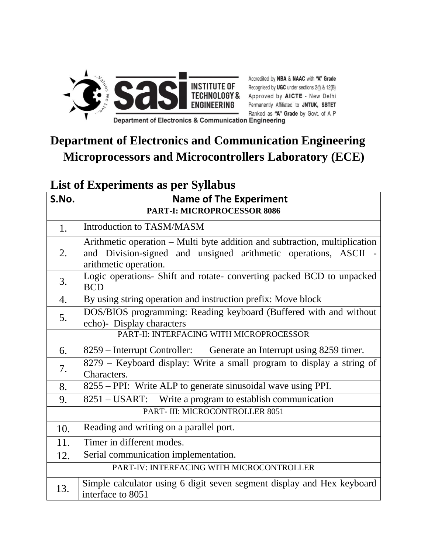

Accredited by NBA & NAAC with "A" Grade<br>
INSTITUTE OF Recognised by UGC under sections 2(f) & 12(B)<br>
TECHNOLOGY & Approved by AICTE - New Delhi<br>
ENGINEERING Permanently Affiliated to JNTUK, SBTET<br>
Ranked as "A" Grade by Go Ranked as "A" Grade by Govt. of A P

Department of Electronics & Communication Engineering

# **Department of Electronics and Communication Engineering Microprocessors and Microcontrollers Laboratory (ECE)**

#### **List of Experiments as per Syllabus**

| S.No.                                     | <b>Name of The Experiment</b>                                                                                                                                          |  |
|-------------------------------------------|------------------------------------------------------------------------------------------------------------------------------------------------------------------------|--|
| <b>PART-I: MICROPROCESSOR 8086</b>        |                                                                                                                                                                        |  |
| 1.                                        | Introduction to TASM/MASM                                                                                                                                              |  |
| 2.                                        | Arithmetic operation – Multi byte addition and subtraction, multiplication<br>and Division-signed and unsigned arithmetic operations, ASCII -<br>arithmetic operation. |  |
| 3.                                        | Logic operations- Shift and rotate- converting packed BCD to unpacked<br><b>BCD</b>                                                                                    |  |
| 4.                                        | By using string operation and instruction prefix: Move block                                                                                                           |  |
| 5.                                        | DOS/BIOS programming: Reading keyboard (Buffered with and without<br>echo)- Display characters                                                                         |  |
| PART-II: INTERFACING WITH MICROPROCESSOR  |                                                                                                                                                                        |  |
| 6.                                        | 8259 – Interrupt Controller: Generate an Interrupt using 8259 timer.                                                                                                   |  |
| 7.                                        | 8279 – Keyboard display: Write a small program to display a string of<br>Characters.                                                                                   |  |
| 8.                                        | 8255 – PPI: Write ALP to generate sinusoidal wave using PPI.                                                                                                           |  |
| 9.                                        | 8251 – USART: Write a program to establish communication                                                                                                               |  |
| PART- III: MICROCONTROLLER 8051           |                                                                                                                                                                        |  |
| 10.                                       | Reading and writing on a parallel port.                                                                                                                                |  |
| 11.                                       | Timer in different modes.                                                                                                                                              |  |
| 12.                                       | Serial communication implementation.                                                                                                                                   |  |
| PART-IV: INTERFACING WITH MICROCONTROLLER |                                                                                                                                                                        |  |
| 13.                                       | Simple calculator using 6 digit seven segment display and Hex keyboard<br>interface to 8051                                                                            |  |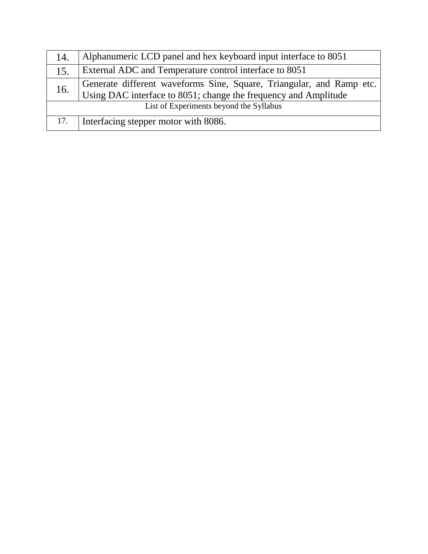| 14.                                     | Alphanumeric LCD panel and hex keyboard input interface to 8051                                                                         |
|-----------------------------------------|-----------------------------------------------------------------------------------------------------------------------------------------|
| 15.                                     | External ADC and Temperature control interface to 8051                                                                                  |
| 16.                                     | Generate different waveforms Sine, Square, Triangular, and Ramp etc.<br>Using DAC interface to 8051; change the frequency and Amplitude |
| List of Experiments beyond the Syllabus |                                                                                                                                         |
| 17.                                     | Interfacing stepper motor with 8086.                                                                                                    |